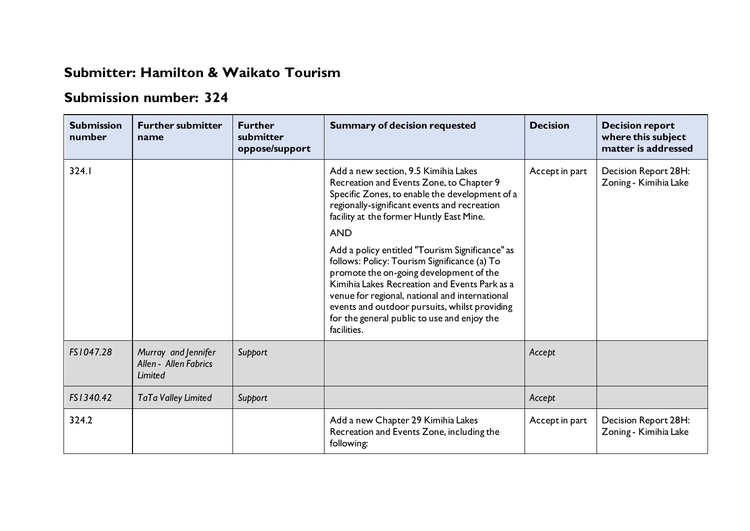## **Submitter: Hamilton & Waikato Tourism**

## **Submission number: 324**

| <b>Submission</b><br>number | <b>Further submitter</b><br>name                               | <b>Further</b><br>submitter<br>oppose/support | <b>Summary of decision requested</b>                                                                                                                                                                                                                                                                                                                         | <b>Decision</b> | <b>Decision report</b><br>where this subject<br>matter is addressed |
|-----------------------------|----------------------------------------------------------------|-----------------------------------------------|--------------------------------------------------------------------------------------------------------------------------------------------------------------------------------------------------------------------------------------------------------------------------------------------------------------------------------------------------------------|-----------------|---------------------------------------------------------------------|
| 324.1                       |                                                                |                                               | Add a new section, 9.5 Kimihia Lakes<br>Recreation and Events Zone, to Chapter 9<br>Specific Zones, to enable the development of a<br>regionally-significant events and recreation<br>facility at the former Huntly East Mine.<br><b>AND</b>                                                                                                                 | Accept in part  | Decision Report 28H:<br>Zoning - Kimihia Lake                       |
|                             |                                                                |                                               | Add a policy entitled "Tourism Significance" as<br>follows: Policy: Tourism Significance (a) To<br>promote the on-going development of the<br>Kimihia Lakes Recreation and Events Park as a<br>venue for regional, national and international<br>events and outdoor pursuits, whilst providing<br>for the general public to use and enjoy the<br>facilities. |                 |                                                                     |
| FS1047.28                   | Murray and Jennifer<br>Allen - Allen Fabrics<br><b>Limited</b> | Support                                       |                                                                                                                                                                                                                                                                                                                                                              | Accept          |                                                                     |
| FS1340.42                   | TaTa Valley Limited                                            | Support                                       |                                                                                                                                                                                                                                                                                                                                                              | Accept          |                                                                     |
| 324.2                       |                                                                |                                               | Add a new Chapter 29 Kimihia Lakes<br>Recreation and Events Zone, including the<br>following:                                                                                                                                                                                                                                                                | Accept in part  | Decision Report 28H:<br>Zoning - Kimihia Lake                       |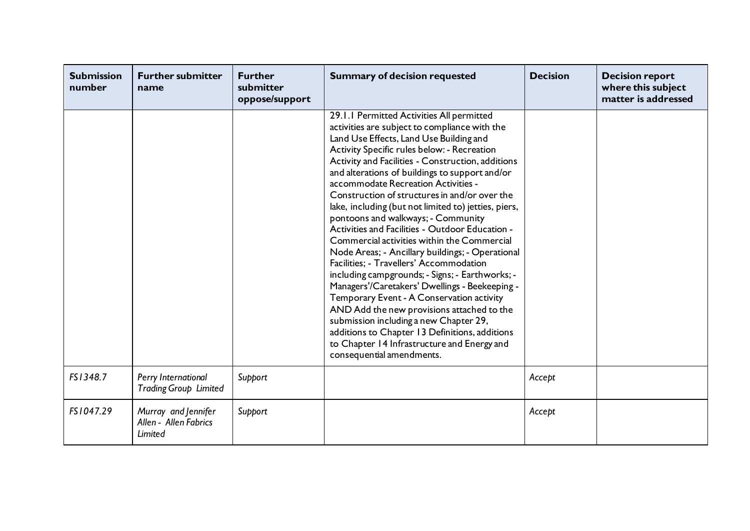| <b>Submission</b><br>number | <b>Further submitter</b><br>name                        | <b>Further</b><br>submitter<br>oppose/support | <b>Summary of decision requested</b>                                                                                                                                                                                                                                                                                                                                                                                                                                                                                                                                                                                                                                                                                                                                                                                                                                                                                                                                                                                                                       | <b>Decision</b> | <b>Decision report</b><br>where this subject<br>matter is addressed |
|-----------------------------|---------------------------------------------------------|-----------------------------------------------|------------------------------------------------------------------------------------------------------------------------------------------------------------------------------------------------------------------------------------------------------------------------------------------------------------------------------------------------------------------------------------------------------------------------------------------------------------------------------------------------------------------------------------------------------------------------------------------------------------------------------------------------------------------------------------------------------------------------------------------------------------------------------------------------------------------------------------------------------------------------------------------------------------------------------------------------------------------------------------------------------------------------------------------------------------|-----------------|---------------------------------------------------------------------|
|                             |                                                         |                                               | 29.1.1 Permitted Activities All permitted<br>activities are subject to compliance with the<br>Land Use Effects, Land Use Building and<br>Activity Specific rules below: - Recreation<br>Activity and Facilities - Construction, additions<br>and alterations of buildings to support and/or<br>accommodate Recreation Activities -<br>Construction of structures in and/or over the<br>lake, including (but not limited to) jetties, piers,<br>pontoons and walkways; - Community<br>Activities and Facilities - Outdoor Education -<br>Commercial activities within the Commercial<br>Node Areas; - Ancillary buildings; - Operational<br>Facilities; - Travellers' Accommodation<br>including campgrounds; - Signs; - Earthworks; -<br>Managers'/Caretakers' Dwellings - Beekeeping -<br>Temporary Event - A Conservation activity<br>AND Add the new provisions attached to the<br>submission including a new Chapter 29,<br>additions to Chapter 13 Definitions, additions<br>to Chapter 14 Infrastructure and Energy and<br>consequential amendments. |                 |                                                                     |
| FS1348.7                    | Perry International<br><b>Trading Group Limited</b>     | Support                                       |                                                                                                                                                                                                                                                                                                                                                                                                                                                                                                                                                                                                                                                                                                                                                                                                                                                                                                                                                                                                                                                            | Accept          |                                                                     |
| FS1047.29                   | Murray and Jennifer<br>Allen - Allen Fabrics<br>Limited | Support                                       |                                                                                                                                                                                                                                                                                                                                                                                                                                                                                                                                                                                                                                                                                                                                                                                                                                                                                                                                                                                                                                                            | Accept          |                                                                     |